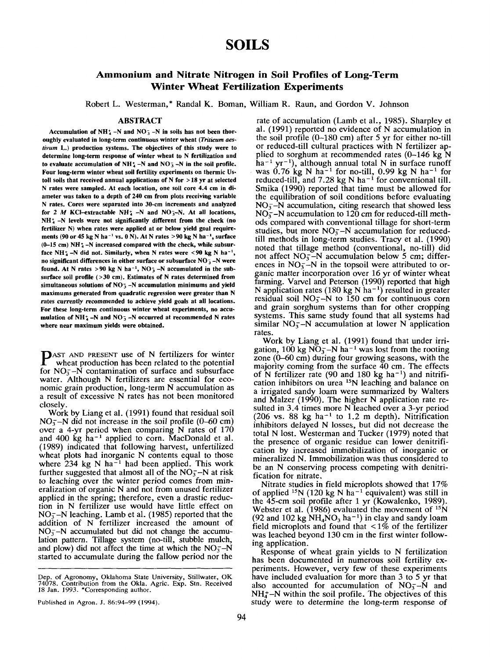# **SOILS**

# **Ammonium and Nitrate Nitrogen in Soil Profiles of Long-Term Winter Wheat Fertilization Experiments**

Robert L. Westerman,\* Randal K. Boman, William R. Raun, and Gordon V. Johnson

### ABSTRACT

Accumulation of  $NH_4^+$  –N and  $NO_3^-$  –N in soils has not been thor**oughly evaluated in long-term continuous winter wheat** *(Triticum aes. tivum* L.) **production systems. The objectives of this study were to determine long-term response of winter wheat to N fertilization and** to evaluate accumulation of  $NH_4$ -N and  $NO_3^-$ -N in the soil profile. **Four long-term winter wheat soil fertility experiments on thermic** Ustoll **soils that received annual applications of N for** > 18 **yr at selected** N **rates were sampled. At each location, one soil core 4.4 cm in diameter was taken to a depth of 240 cm from plots receiving variable** N **rates. Cores were separated into 30-cm increments and analyzed for** 2 M KCI-extractable NH~ -N and NO~-N. At all **locations,** NH~ -N **levels were not significantly different from the check (no fertilizer N) when rates were applied at or below** yield goal requirements **(90 or 45 kg N ha-1 vs. 0 N)**. At N rates >90 kg N ha-1, surface (0-15 cm) NH<sup>+</sup> -N increased compared with the check, while subsurface  $NH_4$  -N did not. Similarly, when N rates were  $\leq 90$  kg N ha<sup>-1</sup>, **no significant differences in either surface or subsurface NO<sub>3</sub> -N were** found. At N rates  $>90$  kg N ha<sup>-1</sup>, NO<sub>3</sub> -N accumulated in the sub**surface soil profile** (>30 cm). **Estimates of N rates determined from** simultaneous solutions of NO<sub>3</sub> -N accumulation minimums and yield **maximums generated from quadratic regression were greater than** N *rates* **currently** *recommended* **to achieve yield goals at all locations. For these long-term continuous winter wheat experiments, no accumulation of NH** $_{4}^{+}$  -N and NO<sub>3</sub> -N occurred at recommended N rates **where near maximum yields were obtained.**

**P**AST AND PRESENT use of N fertilizers for winte<br>
wheat production has been related to the potentia wheat production has been related to the potential for  $NO<sub>5</sub> - N$  contamination of surface and subsurface water. Although N fertilizers are essential for economic grain production, long-term N accumulation as a result of excessive N rates has not been monitored closely.

Work by Liang et al. (1991) found that residual soil  $NO<sub>5</sub> - N$  did not increase in the soil profile (0–60 cm) over a 4-yr period when comparing N rates of 170 and 400 kg ha<sup>-1</sup> applied to corn. MacDonald et al. (1989) indicated that following harvest, unfertilized wheat plots had inorganic N contents equal to those where  $234 \text{ kg}$  N ha<sup>-1</sup> had been applied. This work further suggested that almost all of the  $NO<sub>3</sub> - N$  at risk to leaching over the winter period comes from mineralization of organic N and not from unused fertilizer applied in the spring; therefore, even a drastic reduction in N fertilizer use would have little effect on  $NO<sub>3</sub> - N$  leaching. Lamb et al. (1985) reported that the addition of N fertilizer increased the amount of  $NO<sub>3</sub> - N$  accumulated but did not change the accumulation pattern. Tillage system (no-till, stubble mulch, and plow) did not affect the time at which the  $NO<sub>3</sub>-N$ started to accumulate during the fallow period nor the

rate of accumulation (Lamb et al., 1985). Sharpley al. (1991) reported no evidence of N accumulation the soil profile  $(0-180 \text{ cm})$  after 5 yr for either no-till or reduced-till cultural practices with N fertilizer applied to sorghum at recommended rates  $(0-146 \text{ kg N})$ ha<sup>-1</sup> yr<sup>-1</sup>), although annual total N in surface runof was  $0.76$  kg N ha<sup>-1</sup> for no-till,  $0.99$  kg N ha<sup>-1</sup> for reduced-till, and  $7.28 \text{ kg N} \text{ ha}^{-1}$  for conventional ti Smika (1990) reported that time must be allowed for the equilibration of soil conditions before evaluating  $NO<sub>3</sub> -N$  accumulation, citing research that showed less  $NO<sub>3</sub> - N$  accumulation to 120 cm for reduced-till methods compared with conventional tillage for short-term studies, but more  $NO<sub>3</sub> - N$  accumulation for reducedtill methods in long-term studies. Tracy et al. (1990) noted that tillage method (conventional, no-till) did not affect  $NO<sub>3</sub> - N$  accumulation below 5 cm; differences in  $NO<sub>3</sub> - N$  in the topsoil were attributed to organic matter incorporation over 16 yr of winter wheat farming. Varvel and Peterson (1990) reported that high N application rates (180 kg N ha<sup>-1</sup>) resulted in greater residual soil  $NO<sub>3</sub> - N$  to 150 cm for continuous corn and grain sorghum systems than for other cropping systems. This same study found that all systems had similar  $NO<sub>3</sub> - N$  accumulation at lower N application rates.

Work by Liang et al. (1991) found that under irrigation, 100 kg  $\overline{NO_3^-}$ -N ha<sup>-1</sup> was lost from the rooting zone (0-60 cm) during four growing seasons, with the majority coming from the surface 40 cm. The effects of N fertilizer rate (90 and 180 kg ha<sup>-1</sup>) and nitrification inhibitors on urea  $15N$  leaching and balance on a irrigated sandy loam were summarized by Waiters and Malzer (1990). The higher N application rate resulted in 3.4 times more N leached over a 3-yr period (206 vs. 88 kg ha<sup>-1</sup> to 1.2 m depth). Nitrification inhibitors delayed N losses, but did not decrease the total N lost. Westerman and Tucker (1979) noted that the presence of organic residue can lower denitrification by increased immobilization of inorganic or mineralized N. Immobilization was thus considered to be an N conserving process competing with denitrification for nitrate.

Nitrate studies in field microplots showed that 17% of applied <sup>15</sup>N (120 kg N ha<sup>-1</sup> equivalent) was still in the 45-cm soil profile after 1 yr (Kowalenko, 1989). Webster et al. (1986) evaluated the movement of  $15N$  $(92 \text{ and } 102 \text{ kg NH}_4\text{NO}_3 \text{ ha}^{-1})$  in clay and sandy loam field microplots and found that  $\lt 1\%$  of the fertiliz was leached beyond 130 cm in the first winter following application.

Response of wheat grain yields to N fertilization has been documented in numerous soil fertility experiments. However, very few of these experiments have included evaluation for more than 3 to 5 yr that also accounted for accumulation of  $NO<sub>3</sub> - N$  and  $NH<sub>4</sub>-N$  within the soil profile. The objectives of this study were to determine the long-term response of

Dep. of Agronomy, Oklahoma State University, Stillwater, OK 74078. Contribution from the Okla. Agric. Exp. Stn. Received 18 Jan. 1993. \*Corresponding autho

Published in Agron. J. 86:94-99 (1994).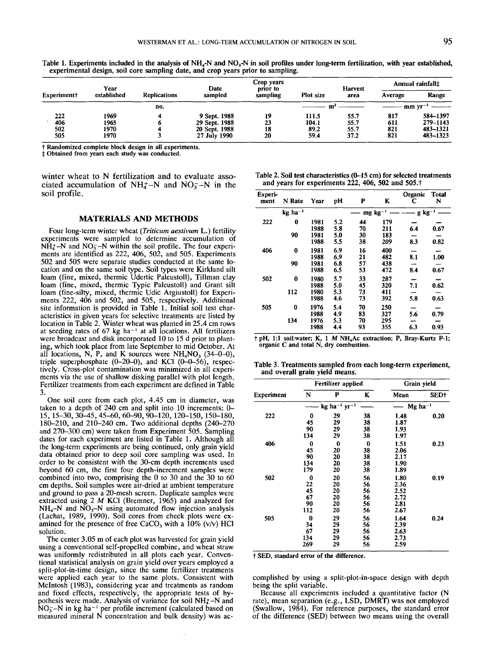|             | Year        |                     | Date          | Crop years<br>prior to |           | Harvest | Annual rainfall‡ |          |  |
|-------------|-------------|---------------------|---------------|------------------------|-----------|---------|------------------|----------|--|
| Experiment+ | established | <b>Replications</b> | sampled       | sampling               | Plot size | area    | Average          | Range    |  |
|             |             | no.                 |               |                        |           |         | $mm yr^-$        |          |  |
| 222         | 1969        |                     | 9 Sept. 1988  | 19                     | 111.5     | 55.7    | 817              | 584-1397 |  |
| 406         | 1965        |                     | 29 Sept. 1988 | 23                     | 104.1     | 55.7    | 611              | 279-1143 |  |
| 502         | 1970        |                     | 20 Sept. 1988 | 18                     | 89.2      | 55.7    | 821              | 483-1321 |  |
| 505         | 1970        |                     | 27 July 1990  | 20                     | 59.4      | 37.2    | 821              | 483-1323 |  |

Table 1. Experiments included in the analysis of NH<sub>4</sub>-N and NO<sub>3</sub>-N in soil profiles under long-term fertilization, with year established, **experimental design, soil core sampling date, and crop years prior to sampling.**

**Randomized complete block design in all experiments.**

Obtained from **years each study was conducted.**

winter wheat to N fertilization and to evaluate associated accumulation of  $NH_4^+$ –N and  $NO_3^-$ –N in the soil profile.

### MATERIALS AND METHODS

Four long-term winter wheat *(Triticum aestivurn* L.) fertility experiments were sampled to determine accumulation of  $N\dot{H}_{4}^{+}$ -N and  $NO_{3}^{-}$ -N within the soil profile. The four experiments are identified as 222, 406, 502, and 505. Experiments 502 and 505 were separate studies conducted at the same location and on the same soil type. Soil types were Kirkland sil loam (fine, mixed, thermic Udertic Paleustoll), Tillman clay loam (fine, mixed, thermic Typic Paleustoll) and Grant silt loam (fine-silty, mixed, thermic Udic Argiustoil) for Experiments 222, 406 and 502, and 505, respectively. Additional site information is provided in Table 1. Initial soil test characteristics in given years for selective treatments are listed by location in Table 2. Winter wheat was planted in 25.4 cm rows at seeding rates of 67 kg ha-I at all locations. All fertilizers were broadcast and disk incorporated 10 to 15 d prior to planting, which took place from late September to mid October. At all locations, N, P, and K sources were  $NH<sub>4</sub>NO<sub>3</sub>$  (34-0-0), triple superphosphate  $(0-20-0)$ , and KCl  $(0-0-56)$ , respectively. Cross-plot contamination was minimized in all experiments via the use of shallow disking parallel with plot length. Fertilizer treatments from each experiment are defined in Table 3.

One soil core from each plot, 4.45 cm in diameter, was taken to a depth of 240 cm and split into 10 increments: 0- 15, 15-30, 30-45, 45-60, 60-90, 90-120, 120-150, 150-180, 180-210, and 210-240 cm. Two additional depths (240-270 and 270-300 cm) were taken from Experiment 505. Sampling dates for each experiment are listed in Table 1. Although all the long-term experiments are being continued, only grain yield data obtained prior to deep soil core sampling was used. In order to be consistent with the 30-cm depth increments used beyond 60 cm, the first four depth-increment samples were combined into two, comprising the 0 to 30 and the 30 to 60 cm depths. Soil samples were air-dried at ambient temperature and ground to pass a 20-mesh screen. Duplicate samples were extracted using  $2 \, M$  KCI (Bremner, 1965) and analyzed for  $NH<sub>4</sub>-N$  and  $\overline{NO}_{3}-N$  using automated flow injection analysis (Lachat, 1989, 1990). Soil cores from check plots were examined for the presence of free CaCO<sub>3</sub> with a  $10\%$  (v/v) HCl solution.

The center 3.05 m of each plot was harvested for grain yield using a conventional self-propelled combine, and wheat straw was uniformly redistributed in all plots each year. Conventional statistical analysis on grain yield over years employed a split-plot-in-time design, since the same fertilizer treatments were applied each year to the same plots. Consistent with Mclntosh (1983), considering year and treatments as random and fixed effects, respectively, the appropriate tests of hypothesis were made. Analysis of variance for soil  $NH_4$ -N and  $NO<sub>3</sub>-N$  in kg ha<sup>-1</sup> per profile increment (calculated based on measured mineral N concentration and bulk density) was ac-

**Table** 2. Soil test characteristics (0-15 **cm) for selected treatments** and years for experiments 222, 406, 502 and 505.<sup>†</sup>

| Experi-<br>ment | N Rate                | Year                 | pH                | P                     | K                 | Organic<br>С | <b>Total</b><br>N |
|-----------------|-----------------------|----------------------|-------------------|-----------------------|-------------------|--------------|-------------------|
|                 | $kg$ ha <sup>-1</sup> |                      |                   | $mg$ kg <sup>-1</sup> |                   | $g kg-1$     |                   |
| 222             | 0<br>90               | 1981<br>1988<br>1981 | 5.2<br>5.8<br>5.0 | 44<br>70<br>30        | 179<br>211<br>183 | 6.4          | 0.67              |
|                 |                       | 1988                 | 5.5               | 38                    | 209               | 8.3          | 0.82              |
| 406             | 0                     | 1981<br>1988         | 6.9<br>6.9        | 16<br>21              | 400<br>482        | 8.1          | 1.00              |
|                 | 90                    | 1981<br>1988         | 6.8<br>6.5        | 57<br>53              | 438<br>472        | 8.4          | 0.67              |
| 502             | 0                     | 1980<br>1988         | 5.7<br>5.0        | 33<br>45              | 287<br>320        | 7.1          | 0.62              |
|                 | 112                   | 1980<br>1988         | 5.3<br>4.6        | 73<br>73              | 411<br>392        | 5.8          | 0.63              |
| 505             | 0                     | 1976<br>1988         | 5.4<br>4.9        | 70<br>83              | 250<br>327        | 5.6          | 0.79              |
|                 | 134                   | 1976<br>1988         | 5.3<br>4.4        | 70<br>93              | 295<br>355        | 6.3          | 0.93              |

pH, 1:1 soil:water; K, 1 M NH4Ac extraction; P, Bray-Kurtz P-l; **organic C and** total N, **dry combustion.**

**Table 3. Treatments sampled from each long-term experiment, and overall grain yield means.**

|            |     | Fertilizer applied                     | Grain yield |      |                       |  |
|------------|-----|----------------------------------------|-------------|------|-----------------------|--|
| Experiment | N   | P                                      | K           | Mean | SED†                  |  |
|            |     | $kg$ ha <sup>-1</sup> yr <sup>-1</sup> |             |      | $Mg$ ha <sup>-1</sup> |  |
| 222        | 0   | 29                                     | 38          | 1.48 | 0.20                  |  |
|            | 45  | 29                                     | 38          | 1.87 |                       |  |
|            | 90  | 29                                     | 38          | 1.93 |                       |  |
|            | 134 | 29                                     | 38          | 1.97 |                       |  |
| 406        | 0   | $\bf{0}$                               | 0           | 1.51 | 0.23                  |  |
|            | 45  | 20                                     | 38          | 2.06 |                       |  |
|            | 90  | 20                                     | 38          | 2.17 |                       |  |
|            | 134 | 20                                     | 38          | 1.90 |                       |  |
|            | 179 | 20                                     | 38          | 1.89 |                       |  |
| 502        | 0   | 20                                     | 56          | 1.80 | 0.19                  |  |
|            | 22  | 20                                     | 56          | 2.36 |                       |  |
|            | 45  | 20                                     | 56          | 2.52 |                       |  |
|            | 67  | 20                                     | 56          | 2.72 |                       |  |
|            | 90  | 20                                     | 56          | 2.81 |                       |  |
|            | 112 | 20                                     | 56          | 2.67 |                       |  |
| 505        | 0   | 29                                     | 56          | 1.64 | 0.24                  |  |
|            | 34  | 29                                     | 56          | 2.39 |                       |  |
|            | 67  | 29                                     | 56          | 2.63 |                       |  |
|            | 134 | 29                                     | 56          | 2.73 |                       |  |
|            | 269 | 29                                     | 56          | 2.59 |                       |  |

~" SED, **standard error of the difference.**

complished by using a split-plot-in-space design with depth being the split variable.

Because all experiments included a quantitative factor (N rate), mean separation (e.g., LSD, DMRT) was not employed (Swallow, 1984). For reference purposes, the standard error of the difference (SED) between two means using the overall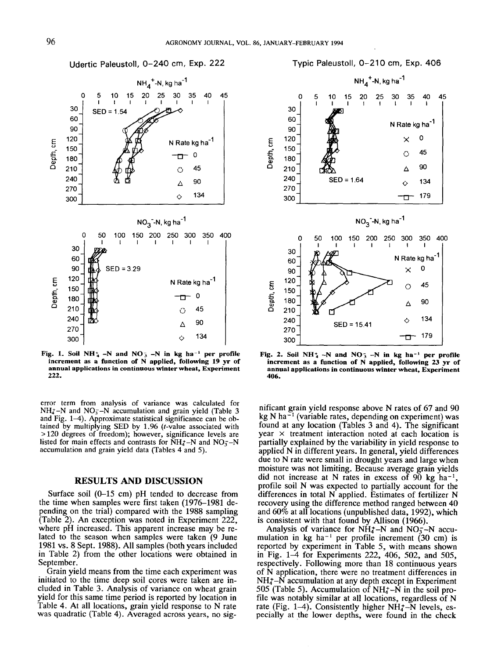Udertic Paleustoll, 0-240 cm, Exp. 222



**Fig. 1. Soil NH**<sup> $\star$ </sup> –N and NO<sub>3</sub> –N in kg ha<sup>-1</sup> per profile **increment as a function of N applied, following 19 yr of annual applications in continuous winter wheat, Experiment 222.**

error term from analysis of variance was calculated for  $NH_{4}-N$  and  $NO_{3}-N$  accumulation and grain yield (Table 3) and Fig. 1-4). Approximate statistical significance can be obtained by multiplying SED by 1.96 (t-value associated with > 120 degrees of freedom); however, significance levels are listed for main effects and contrasts for  $\text{NH}_4$ -N and NO<sub>7</sub>-N accumulation and grain yield data (Tables 4 and 5).

## **RESULTS AND DISCUSSION**

**Surface soil (0-15 cm) pH tended to decrease from the time when samples were first taken (1976-1981 pending on the trial) compared with the 1988 sampling (Table 2). An exception was noted in Experiment 222, where pH increased. This apparent increase may be related to the season when samples were taken (9 June 1981 vs. 8 Sept. 1988). All samples (both years included** in Table 2) from the other locations were obtained in September.

Grain yield means from the time each experiment was **initiated to the time deep soil cores were taken are included in Table 3. Analysis of variance on wheat grain yield for this same time period is reported by location in Table 4. At all locations, grain yield response to N rate was quadratic (Table 4). Averaged across years, no sig-**



Typic Paleustoll, 0-210 cm, Exp. 406

Fig. 2. Soil NH<sup>+</sup><sub>4</sub> -N and NO<sup>-</sup><sub>3</sub> -N in kg ha<sup>-1</sup> per profile **increment as a function of N applied, following 23 yr of annual applications in continuous winter wheat, Experiment 406.**

nificant grain yield response above N rates of 67 and 90 kg N ha $^{-1}$  (variable rates, depending on experiment) was found at any location (Tables 3 and 4). The significant year  $\times$  treatment interaction noted at each location is partially explained by the variability in yield response to applied N in different years. In general, yield differences due to N rate were small in drought years and large when moisture was not limiting. Because average grain yields did not increase at N rates in excess of  $90 \text{ kg} \text{ ha}^{-1}$ , profile soil N was expected to partially account for the differences in total N applied. Estimates of fertilizer N recovery using the difference method ranged between 40 and 60% at all locations (unpublished data, 1992), which is consistent with that found by Allison (1966).

Analysis of variance for  $NH_4^+$ –N and  $NO_3^-$ –N accumulation in  $kg$  ha<sup>-1</sup> per profile increment (30 cm) is reported by experiment in Table 5, with means shown in Fig. 1-4 for Experiments 222, 406, 502, and 505, respectively. Following more than 18 continuous years of N application, there were no treatment differences in  $NH_4^{\text{-}}-N$  accumulation at any depth except in Experiment 505 (Table 5). Accumulation of  $NH_4^+$ – $\dot{N}$  in the soil profile was notably similar at all locations, regardless of N rate (Fig. 1-4). Consistently higher  $NH_4^+$ -N levels, especially at the lower depths, were found in the check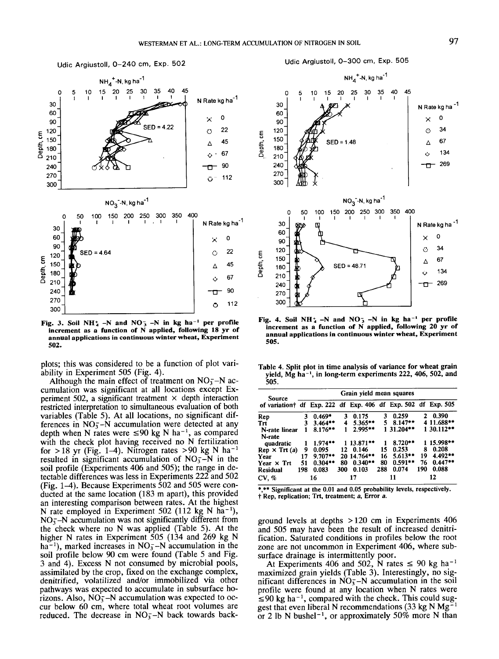



Fig. 3. Soil NH<sup>+</sup><sub>4</sub> -N and NO<sup>-</sup><sub>3</sub> -N in kg ha<sup>-1</sup> per profile increment as a function of N applied, following 18 yr of annual applications in continuous winter wheat, Experiment 502.

plots; this was considered to be a function of plot variability in Experiment 505 (Fig. 4).

Although the main effect of treatment on  $NO<sub>3</sub> - N$  accumulation was significant at all locations except Experiment 502, a significant treatment  $\times$  depth interaction restricted interpretation to simultaneous evaluation of both variables (Table 5). At all locations, no significant differences in  $NO_3^-$ -N accumulation were detected at any depth when N rates were  $\leq 90$  kg N ha<sup>-1</sup>, as compared with the check plot having received no N fertilization for >18 yr (Fig. 1–4). Nitrogen rates >90 kg N ha<sup>-1</sup> resulted in significant accumulation of  $NO<sub>3</sub> - N$  in the soil profile (Experiments 406 and 505); the range in detectable differences was less in Experiments 222 and 502 (Fig.  $1-4$ ). Because Experiments 502 and 505 were conducted at the same location (183 m apart), this provided an interesting comparison between rates. At the highest N rate employed in Experiment 502 (112 kg N ha<sup>-1</sup>),  $NO<sub>3</sub> - N$  accumulation was not significantly different from the check where no N was applied (Table 5). At the higher N rates in Experiment 505 (134 and 269 kg N ha<sup>-1</sup>), marked increases in NO<sub>3</sub>-N accumulation in the soil profile below 90 cm were found (Table 5 and Fig. 3 and 4). Excess N not consumed by microbial pools, assimilated by the crop, fixed on the exchange complex, denitrified, volatilized and/or immobilized via other pathways was expected to accumulate in subsurface horizons. Also,  $NO<sub>3</sub><sup>-</sup>-N$  accumulation was expected to occur below 60 cm, where total wheat root volumes are reduced. The decrease in  $NO<sub>3</sub> - N$  back towards back-





Fig. 4. Soil NH<sup>+</sup><sub>4</sub> -N and NO<sup>-</sup><sub>3</sub> -N in kg ha<sup>-1</sup> per profile increment as a function of N applied, following 20 yr of annual applications in continuous winter wheat, Experiment 505.

Table 4. Split plot in time analysis of variance for wheat grain yield, Mg ha<sup>-1</sup>, in long-term experiments 222, 406, 502, and 505.

| Source                                                                    | Grain yield mean squares |            |     |             |     |            |     |            |  |  |
|---------------------------------------------------------------------------|--------------------------|------------|-----|-------------|-----|------------|-----|------------|--|--|
| of variation <sup>†</sup> df Exp. 222 df Exp. 406 df Exp. 502 df Exp. 505 |                          |            |     |             |     |            |     |            |  |  |
| Rep                                                                       | 3                        | $0.469*$   | 3   | 0.175       | 3   | 0.259      | 2.  | 0.390      |  |  |
| Trt                                                                       | 3                        | $3.464**$  | 4   | $5.365***$  | 5   | $8.147**$  |     | 4 11.688** |  |  |
| N-rate linear<br>N-rate                                                   |                          | $8.176***$ |     | $2.995**$   |     | 1 31.204** |     | 1 30.112** |  |  |
| quadratic                                                                 | 1                        | $1.974**$  |     | 1 13.871**  |     | $8.720**$  |     | 1 15.998** |  |  |
| $Rep \times Trt(a)$                                                       | 9                        | 0.095      | 12  | 0.146       | 15  | 0.253      | 8   | 0.208      |  |  |
| Year                                                                      | 17                       | $9.707**$  |     | 20 14.764** | 16  | $5.613***$ | 19  | 4.492**    |  |  |
| Year $\times$ Trt                                                         | 51                       | $0.304**$  | 80  | $0.340**$   | 80  | $0.591**$  | 76  | $0.447**$  |  |  |
| <b>Residual</b>                                                           | 198                      | 0.083      | 300 | 0.103       | 288 | 0.074      | 190 | 0.088      |  |  |
| CV, %                                                                     | 16                       |            | 17  |             |     | 11         | 12  |            |  |  |

\*,\*\* Significant at the 0.01 and 0.05 probability levels, respectively. † Rep, replication; Trt, treatment; a, Error a.

ground levels at depths  $>120$  cm in Experiments 406 and 505 may have been the result of increased denitrification. Saturated conditions in profiles below the root zone are not uncommon in Experiment 406, where subsurface drainage is intermittently poor.

At Experiments 406 and 502, N rates  $\leq 90$  kg ha<sup>-1</sup> maximized grain yields (Table 3). Interestingly, no significant differences in  $NO<sub>3</sub> - N$  accumulation in the soil profile were found at any location when N rates were  $\leq 90$  kg ha<sup>-1</sup>, compared with the check. This could suggest that even liberal N recommendations (33 kg N Mg<sup>-</sup> or 2 lb N bushel<sup>-1</sup>, or approximately 50% more N than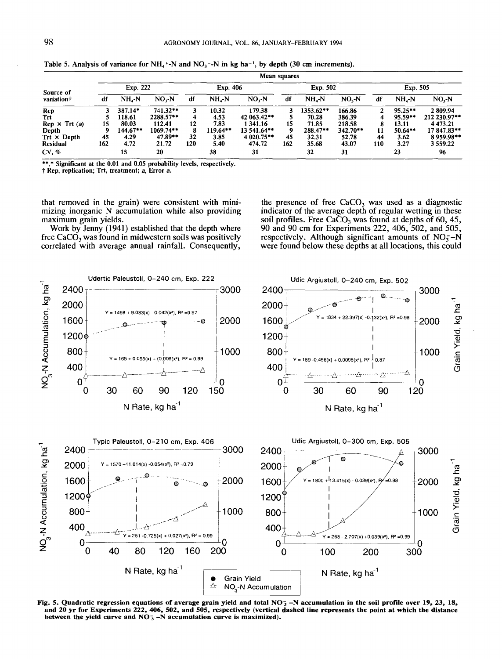| Source of<br>variation <sup>†</sup> | Mean squares |            |             |          |            |             |          |            |            |          |           |               |
|-------------------------------------|--------------|------------|-------------|----------|------------|-------------|----------|------------|------------|----------|-----------|---------------|
|                                     | Exp. 222     |            |             | Exp. 406 |            |             | Exp. 502 |            |            | Exp. 505 |           |               |
|                                     | df           | $NH - N$   | $NO3-N$     | df       | $NH_{4}-N$ | $NO3$ - $N$ | df       | $NHa-N$    | $NOx-N$    | df       | $NH - N$  | $NO3-N$       |
| Rep                                 |              | 387.14*    | $741.32**$  |          | 10.32      | 179.38      |          | 1353.62**  | 166.86     |          | $95.25**$ | 2809.94       |
| Trt                                 |              | 118.61     | 2288.57**   |          | 4.53       | 42 063.42** |          | 70.28      | 386.39     |          | $95.59**$ | 212 230.97**  |
| $Rep \times Trf(a)$                 | 15           | 80.03      | 112.41      | 12       | 7.83       | 1 341.16    | 15       | 71.85      | 218.58     | 8        | 13.11     | 4 4 7 3 . 2 1 |
| Depth                               |              | $144.67**$ | $1069.74**$ | 8        | 119.64**   | 13 541.64** | 9        | $288.47**$ | $342.70**$ | 11       | $50.64**$ | 17847.83**    |
| $Trt \times Depth$                  | 45           | 4.29       | $47.89**$   | 32       | 3.85       | 4 020.75**  | 45       | 32.31      | 52.78      | 44       | 3.62      | 8959.98**     |
| <b>Residual</b>                     | 162          | 4.72       | 21.72       | 120      | 5.40       | 474.72      | 162      | 35.68      | 43.07      | 110      | 3.27      | 3 5 5 9 . 2 2 |
| CV, %                               |              | 15         | 20          |          | 38         | 31          |          | 32         | 31         |          | 23        | 96            |

Table 5. Analysis of variance for  $NH_4$ <sup>+</sup>-N and  $NO_3$ <sup>-</sup>-N in kg ha<sup>-1</sup>, by depth (30 cm increments).

\*\*,\* Significant at the 0.01 and 0.05 probability levels, respectively

~" Rep, replication; Trt, treatment; a, Error a.

that removed in the grain) were consistent with minimizing inorganic N accumulation while also providing maximum grain yields.

Work by Jenny (1941) established that the depth where free  $CaCO<sub>3</sub>$  was found in midwestern soils was positively correlated with average annual rainfall. Consequently,

the presence of free  $CaCO<sub>3</sub>$  was used as a diagnostic indicator of the average depth of regular wetting in these soil profiles. Free CaCO<sub>3</sub> was found at depths of 60, 45, 90 and 90 cm for Experiments 222, 406, 502, and 505, respectively. Although significant amounts of  $NO<sub>z</sub> - N$ were found below these depths at all locations, this could



Fig. 5. Quadratic regression equations of average grain yield and total  $NO<sub>3</sub> -N$  accumulation in the soil profile over 19, 23, 18, and 20 yr for Experiments 222, 406, 502, and 505, respectively (vertical dashed line represents the point at which the distance between the yield curve and  $NO<sub>3</sub> -N$  accumulation curve is maximized).